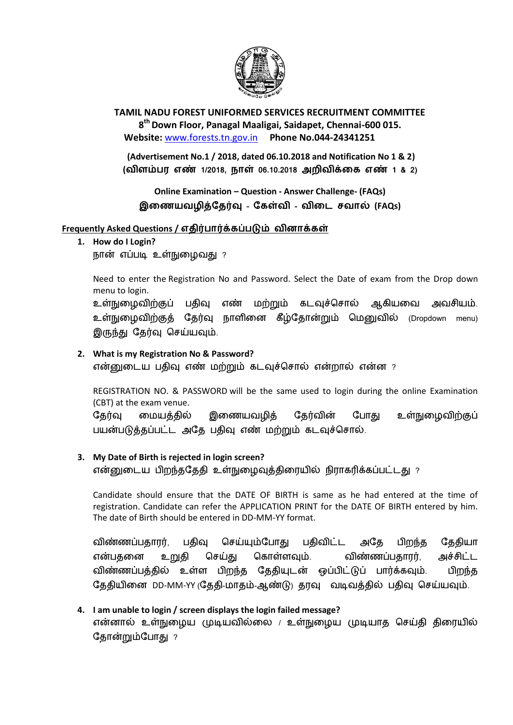

**TAMIL NADU FOREST UNIFORMED SERVICES RECRUITMENT COMMITTEE 8 th Down Floor, Panagal Maaligai, Saidapet, Chennai-600 015. Website:** [www.forests.tn.gov.in](http://www.forests.tn.gov.in/) **Phone No.044-24341251**

**(Advertisement No.1 / 2018, dated 06.10.2018 and Notification No 1 & 2) ( 1/2018, 06.10.2018 1 & 2)**

**Online Examination – Question - Answer Challenge- (FAQs)** இணையவழித்தேர்வு - கேள்வி - விடை சவால் (FAQs)

### **Frequently Asked Questions /**

**1. How do I Login?**

நான் எப்படி உள்நுழைவது ?

Need to enter the Registration No and Password. Select the Date of exam from the Drop down menu to login.

உள்நுழைவிற்குப் பதிவு எண் மற்றும் கடவுச்சொல் ஆகியவை அவசியம். உள்நுழைவிற்குத் தேர்வு நாளினை கீழ்தோன்றும் மெனுவில் (Dropdown menu) இருந்து தேர்வு செய்யவும்.

### **2. What is my Registration No & Password?**

என்னுடைய பதிவு எண் மற்றும் கடவுச்சொல் என்றால் என்ன ?

REGISTRATION NO. & PASSWORD will be the same used to login during the online Examination (CBT) at the exam venue.

இணையவழித் உள்நுழைவிற்குப் தேர்வு மையத்தில் தேர்வின் போது பயன்படுத்தப்பட்ட அதே பதிவு எண் மற்றும் கடவுச்சொல்.

## **3. My Date of Birth is rejected in login screen?**

என்னுடைய பிறந்ததேதி உள்நுழைவுத்திரையில் நிராகரிக்கப்பட்டது ?

Candidate should ensure that the DATE OF BIRTH is same as he had entered at the time of registration. Candidate can refer the APPLICATION PRINT for the DATE OF BIRTH entered by him. The date of Birth should be entered in DD-MM-YY format.

செய்யும்போது பதிவிட்ட விண்ணப்பதாரர், பதிவு அதே பிறந்த தேதியா என்பதனை உறுதி செய்து கொள்ளவும். விண்ணப்பதாரர், அச்சிட்ட விண்ணப்பத்தில் உள்ள பிறந்த தேதியுடன் ஒப்பிட்டுப் பார்க்கவும். பிறந்த தேதியினை DD-MM-YY (தேதி-மாதம்-ஆண்டு) தரவு வடிவத்தில் பதிவு செய்யவும்.

# **4. I am unable to login / screen displays the login failed message?**  என்னால் உள்நுழைய முடியவில்லை / உள்நுழைய முடியாத செய்தி திரையில் தோன்றும்போது ?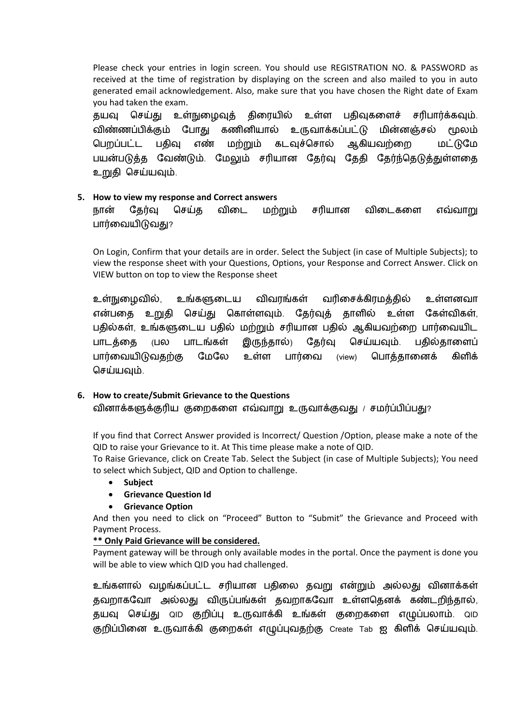Please check your entries in login screen. You should use REGISTRATION NO. & PASSWORD as received at the time of registration by displaying on the screen and also mailed to you in auto generated email acknowledgement. Also, make sure that you have chosen the Right date of Exam you had taken the exam.

. தயவு செய்து உள்நுழைவுத் திரையில் உள்ள பதிவுகளைச் சரிபார்க்கவும் கணினியால் உருவாக்கப்பட்டு விண்ணப்பிக்கும் போகு மின்னஞ்சல் மூலம் மற்றும் கடவுச்சொல் ஆகியவற்றை பெறப்பட்ட பகிவு எண் மட்டுமே பயன்படுத்த வேண்டும். மேலும் சரியான தேர்வு தேதி தேர்ந்தெடுத்துள்ளதை உறுதி செய்யவும்.

### **5. How to view my response and Correct answers**

நான் தேர்வு செய்த விடை மற்றும் சரியான விடைகளை எவ்வாறு பார்வையிடுவது?

On Login, Confirm that your details are in order. Select the Subject (in case of Multiple Subjects); to view the response sheet with your Questions, Options, your Response and Correct Answer. Click on VIEW button on top to view the Response sheet

உள்நுழைவில், உங்களுடைய விவரங்கள் வரிசைக்கிரமத்தில் உள்ளனவா என்பதை உறுதி செய்து கொள்ளவும். தேர்வுத் தாளில் உள்ள கேள்விகள், பதில்கள், உங்களுடைய பதில் மற்றும் சரியான பதில் ஆகியவற்றை பார்வையிட பாடத்தை (பல பாடங்கள் இருந்தால்) தேர்வு செய்யவும். பதில்தாளைப் பார்வையிடுவதற்கு மேலே உள்ள பார்வை (view) பொக்கானைக் கிளிக் செய்யவும்.

## **6. How to create/Submit Grievance to the Questions**

வினாக்களுக்குரிய குறைகளை எவ்வாறு உருவாக்குவது / சமர்ப்பிப்பது?

If you find that Correct Answer provided is Incorrect/ Question /Option, please make a note of the QID to raise your Grievance to it. At This time please make a note of QID.

To Raise Grievance, click on Create Tab. Select the Subject (in case of Multiple Subjects); You need to select which Subject, QID and Option to challenge.

- **Subject**
- **Grievance Question Id**

### **Grievance Option**

And then you need to click on "Proceed" Button to "Submit" the Grievance and Proceed with Payment Process.

### **\*\* Only Paid Grievance will be considered.**

Payment gateway will be through only available modes in the portal. Once the payment is done you will be able to view which QID you had challenged.

உங்களால் வழங்கப்பட்ட சரியான பதிலை தவறு என்றும் அல்லது வினாக்கள் தவறாகவோ அல்லது விருப்பங்கள் தவறாகவோ உள்ளதெனக் கண்டறிந்தால், தயவு செய்து மெ குறிப்பு உருவாக்கி உங்கள் குறைகளை எழுப்பலாம். மெ குறிப்பினை உருவாக்கி குறைகள் எழுப்புவதற்கு Create Tab ஐ கிளிக் செய்யவும்.